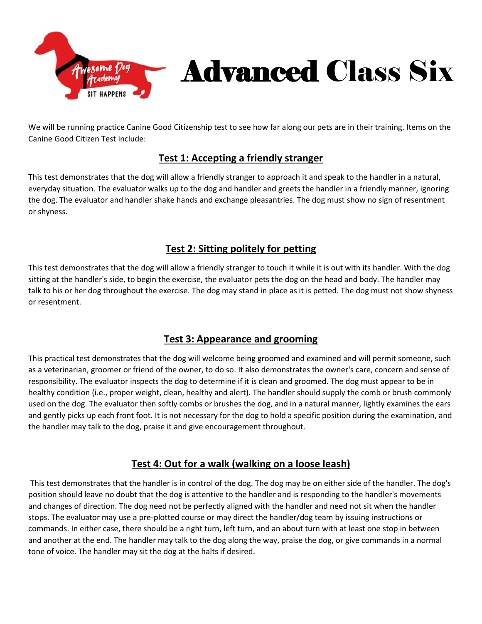

We will be running practice Canine Good Citizenship test to see how far along our pets are in their training. Items on the Canine Good Citizen Test include:

# **Test 1: Accepting a friendly stranger**

This test demonstrates that the dog will allow a friendly stranger to approach it and speak to the handler in a natural, everyday situation. The evaluator walks up to the dog and handler and greets the handler in a friendly manner, ignoring the dog. The evaluator and handler shake hands and exchange pleasantries. The dog must show no sign of resentment or shyness.

# **Test 2: Sitting politely for petting**

This test demonstrates that the dog will allow a friendly stranger to touch it while it is out with its handler. With the dog sitting at the handler's side, to begin the exercise, the evaluator pets the dog on the head and body. The handler may talk to his or her dog throughout the exercise. The dog may stand in place as it is petted. The dog must not show shyness or resentment.

## **Test 3: Appearance and grooming**

This practical test demonstrates that the dog will welcome being groomed and examined and will permit someone, such as a veterinarian, groomer or friend of the owner, to do so. It also demonstrates the owner's care, concern and sense of responsibility. The evaluator inspects the dog to determine if it is clean and groomed. The dog must appear to be in healthy condition (i.e., proper weight, clean, healthy and alert). The handler should supply the comb or brush commonly used on the dog. The evaluator then softly combs or brushes the dog, and in a natural manner, lightly examines the ears and gently picks up each front foot. It is not necessary for the dog to hold a specific position during the examination, and the handler may talk to the dog, praise it and give encouragement throughout.

# **Test 4: Out for a walk (walking on a loose leash)**

This test demonstrates that the handler is in control of the dog. The dog may be on either side of the handler. The dog's position should leave no doubt that the dog is attentive to the handler and is responding to the handler's movements and changes of direction. The dog need not be perfectly aligned with the handler and need not sit when the handler stops. The evaluator may use a pre-plotted course or may direct the handler/dog team by issuing instructions or commands. In either case, there should be a right turn, left turn, and an about turn with at least one stop in between and another at the end. The handler may talk to the dog along the way, praise the dog, or give commands in a normal tone of voice. The handler may sit the dog at the halts if desired.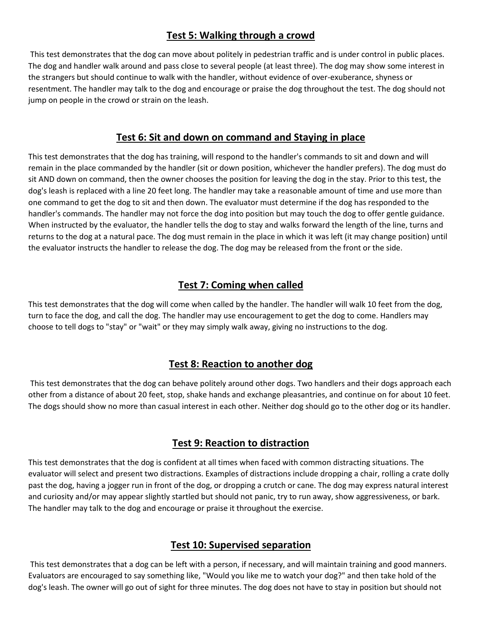### **Test 5: Walking through a crowd**

This test demonstrates that the dog can move about politely in pedestrian traffic and is under control in public places. The dog and handler walk around and pass close to several people (at least three). The dog may show some interest in the strangers but should continue to walk with the handler, without evidence of over-exuberance, shyness or resentment. The handler may talk to the dog and encourage or praise the dog throughout the test. The dog should not jump on people in the crowd or strain on the leash.

#### **Test 6: Sit and down on command and Staying in place**

This test demonstrates that the dog has training, will respond to the handler's commands to sit and down and will remain in the place commanded by the handler (sit or down position, whichever the handler prefers). The dog must do sit AND down on command, then the owner chooses the position for leaving the dog in the stay. Prior to this test, the dog's leash is replaced with a line 20 feet long. The handler may take a reasonable amount of time and use more than one command to get the dog to sit and then down. The evaluator must determine if the dog has responded to the handler's commands. The handler may not force the dog into position but may touch the dog to offer gentle guidance. When instructed by the evaluator, the handler tells the dog to stay and walks forward the length of the line, turns and returns to the dog at a natural pace. The dog must remain in the place in which it was left (it may change position) until the evaluator instructs the handler to release the dog. The dog may be released from the front or the side.

## **Test 7: Coming when called**

This test demonstrates that the dog will come when called by the handler. The handler will walk 10 feet from the dog, turn to face the dog, and call the dog. The handler may use encouragement to get the dog to come. Handlers may choose to tell dogs to "stay" or "wait" or they may simply walk away, giving no instructions to the dog.

#### **Test 8: Reaction to another dog**

This test demonstrates that the dog can behave politely around other dogs. Two handlers and their dogs approach each other from a distance of about 20 feet, stop, shake hands and exchange pleasantries, and continue on for about 10 feet. The dogs should show no more than casual interest in each other. Neither dog should go to the other dog or its handler.

## **Test 9: Reaction to distraction**

This test demonstrates that the dog is confident at all times when faced with common distracting situations. The evaluator will select and present two distractions. Examples of distractions include dropping a chair, rolling a crate dolly past the dog, having a jogger run in front of the dog, or dropping a crutch or cane. The dog may express natural interest and curiosity and/or may appear slightly startled but should not panic, try to run away, show aggressiveness, or bark. The handler may talk to the dog and encourage or praise it throughout the exercise.

#### **Test 10: Supervised separation**

This test demonstrates that a dog can be left with a person, if necessary, and will maintain training and good manners. Evaluators are encouraged to say something like, "Would you like me to watch your dog?" and then take hold of the dog's leash. The owner will go out of sight for three minutes. The dog does not have to stay in position but should not